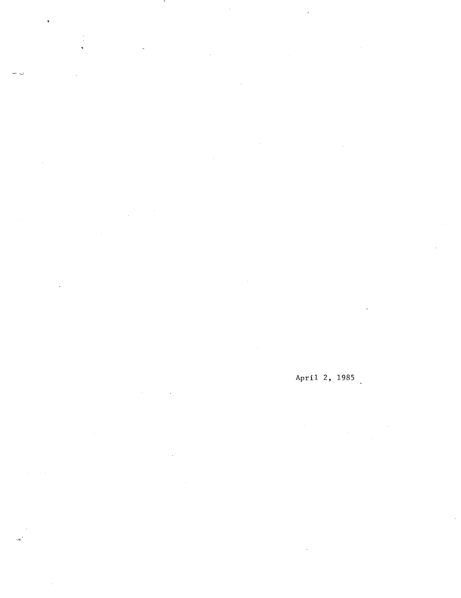$\ddot{\phantom{0}}$ 

 $\overline{\phantom{a}}$ 

 $\mathbb{Z}^{\mathbb{Z}^2}$ 

 $\frac{1}{\sqrt{2}}$ 

 $\mathcal{L}^{\mathcal{L}}$ 

# April 2, 1985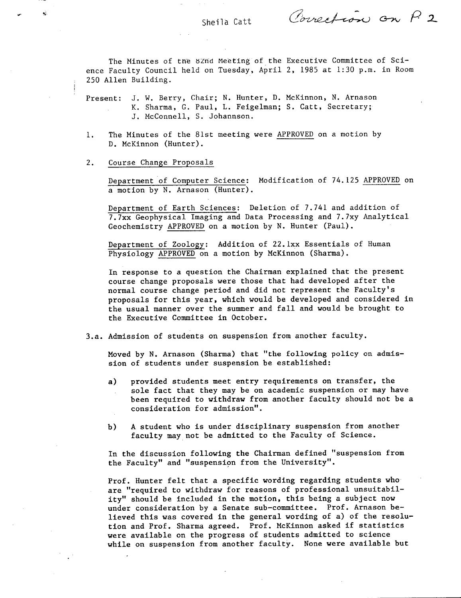Powertion on P. 2

The Minutes of the 8Znd Meeting of the Executive Committee of Science Faculty Council held on Tuesday, April 2, 1985 at 1:30 p.m. in Room 250 Allen Building.

Present: J. W. Berry, Chair; N. Hunter, D. McKinnon, N. Arnason K. Sharma, C. Paul, L. Feigelman; S. Catt, Secretary; J. McConnell, S. Johannson.

The Minutes of the 81st meeting were APPROVED on a motion by  $1.$ D. McKinnon (Hunter).

## $2.$ Course Change Proposals

Department of Computer Science: Modification of 74.125 APPROVED on a motion by N. Arnason (Hunter).

Department of Earth Sciences: Deletion of 7.741 and addition of 7.7xx Geophysical Imaging and Data Processing and 7.7xy Analytical Geochemistry APPROVED on a motion by N. Hunter (Paul).

Department of Zoology: Addition of 22.lxx Essentials of Human Physiology APPROVED on a motion by McKinnon (Sharma).

In response to a question the Chairman explained that the present course change proposals were those that had developed after the normal course change period and did not represent the Faculty's proposals for this year, which would be developed and considered in the usual manner over the summer and fall and would be brought to the Executive Committee in October.

3.a. Admission of students on suspension from another faculty.

Moved by N. Arnason (Sharma) that "the following policy on admission of students under suspension be established:

- $a)$ provided students meet entry requirements on transfer, the sole fact that they may be on academic suspension or may have been required to withdraw from another faculty should not be a consideration for admission".
- A student who is under disciplinary suspension from another b) faculty may not be admitted to the Faculty of Science.

In the discussion following the Chairman defined "suspension from the Faculty" and "suspension from the University".

Prof. Hunter felt that a specific wording regarding students who are "required to withdraw for reasons of professional unsuitability" should be included in the motion, this being a subject now under consideration by a Senate sub-committee. Prof. Arnason believed this was covered in the general wording of a) of the resolution and Prof. Sharma agreed. Prof. McKinnon asked if statistics were available on the progress of students admitted to science while on suspension from another faculty. None were available but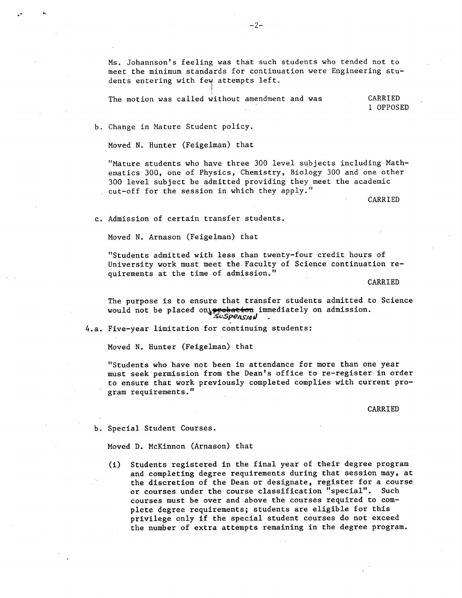Ms. Johannson's feeling was that such students who tended not to meet the minimum standards for continuation were Engineering students entering with few attempts left.

The motion was called without amendment and was CARRIED 1 OPPOSED

b. Change in Mature Student policy.

Moved N. Hunter (Feigelman) that

"Mature students who have three 300 level subjects including Mathematics 300, one of Physics, Chemistry, Biology 300 and one other 300 level subject be admitted providing they meet the academic cut-off for the session in which they apply."

CARRIED

Admission of certain transfer students.

Moved N. Arnason (Feigelman) that

"Students admitted with less than twenty-four credit hours of University work must meet the Faculty of Science continuation requirements at the time of admission."

**CARRIED** 

The purpose is to ensure that transfer students admitted to Science would not be placed on rebation immediately on admission. £uSpeflS,dü

4.a. Five-year limitation for continuing students:

Moved N. Hunter (Feigelman) that

"Students who have not been in attendance for more than one year must seek permission from the Dean's office to re-register in order to ensure that work previously completed complies with current program requirements."

CARRIED

b. Special Student Courses.

Moved D. McKinnon (Arnason) that

(i) Students registered in the final year of their degree program and completing degree requirements during that session may, at the discretion of the Dean or designate, register for a course or courses under the course classification "special". Such courses must be over and above the courses required to complete degree requirements; students are eligible for this privilege only if the special student courses do not exceed the number of extra attempts remaining in the degree program.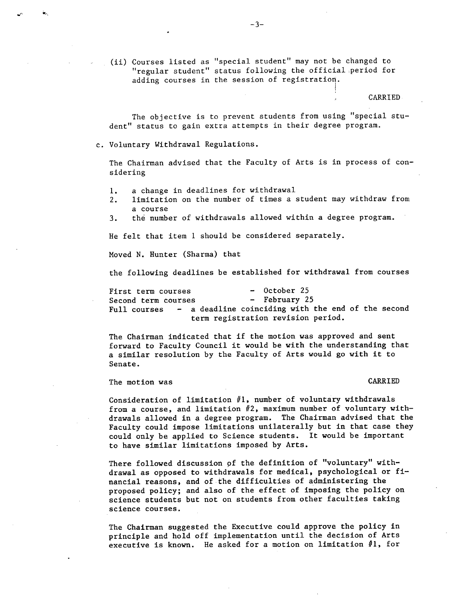(ii) Courses listed as "special student" may not be changed to "regular student" status following the official period for adding courses in the session of registration.

CARRIED

The objective is to prevent students from using "special student" status to gain extra attempts in their degree program.

c. Voluntary Withdrawal Regulations.

The Chairman advised that the Faculty of Arts is in process of considering

- a change in deadlines for withdrawal 1.
- limitation on the number of times a student may withdraw from  $2.$ a course
- the number of withdrawals allowed within a degree program.  $3.$

He felt that item 1 should be considered separately.

Moved N. Hunter (Sharma) that

the following deadlines be established for withdrawal from courses

First term courses<br>
Second term courses<br>
- February 25 Second term courses Full courses - a deadline coinciding with the end of the second term registration revision period.

The Chairman indicated that if the motion was approved and sent forward to Faculty Council it would be with the understanding that a similar resolution by the Faculty of Arts would go with it to Senate.

The motion was CARRIED CONSTRUCTED AND THE MOVIES OF THE MOVIES OF THE MOVIES OF THE MOVIES OF THE MOVIES OF THE MOVIES OF THE MOVIES OF THE MOVIES OF THE MOVIES OF THE MOVIES OF THE MOVIES OF THE MOVIES OF THE MOVIES OF T

Consideration of limitation #1, number of voluntary withdrawals from a course, and limitation #2, maximum number of voluntary withdrawals allowed in a degree program. The Chairman advised that the Faculty could impose limitations unilaterally but in that case they could only be applied to Science students. It would be important to have similar limitations imposed by Arts.

There followed discussion of the definition of "voluntary" withdrawal as opposed to withdrawals for medical, psychological or financial reasons, and of the difficulties of administering the proposed policy; and also of the effect of imposing the policy on science students but not on students from other faculties taking science courses.

The Chairman suggested the Executive could approve the policy in principle and hold off implementation until the decision of Arts executive is known. He asked for a motion on limitation #1, for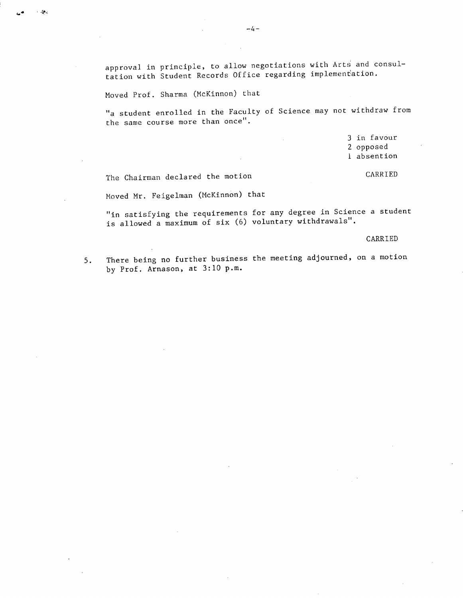approval in principle, to allow negotiations with Arts and consultation with Student Records Office regarding implementation.

Moved Prof. Sharma (McKinnon) that

. കു

"a student enrolled in the Faculty of Science may not withdraw from the same course more than once".

> 3 in favour 2 opposed 1 absention

The Chairman declared the motion CARRIED

Moved Mr. Feigelman (McKinnon) that

"in satisfying the requirements for any degree in Science a student is allowed a maximum of six (6) voluntary withdrawals".

CARRIED

5. There being no further business the meeting adjourned, on a motion by Prof. Arnason, at 3:10 p.m.